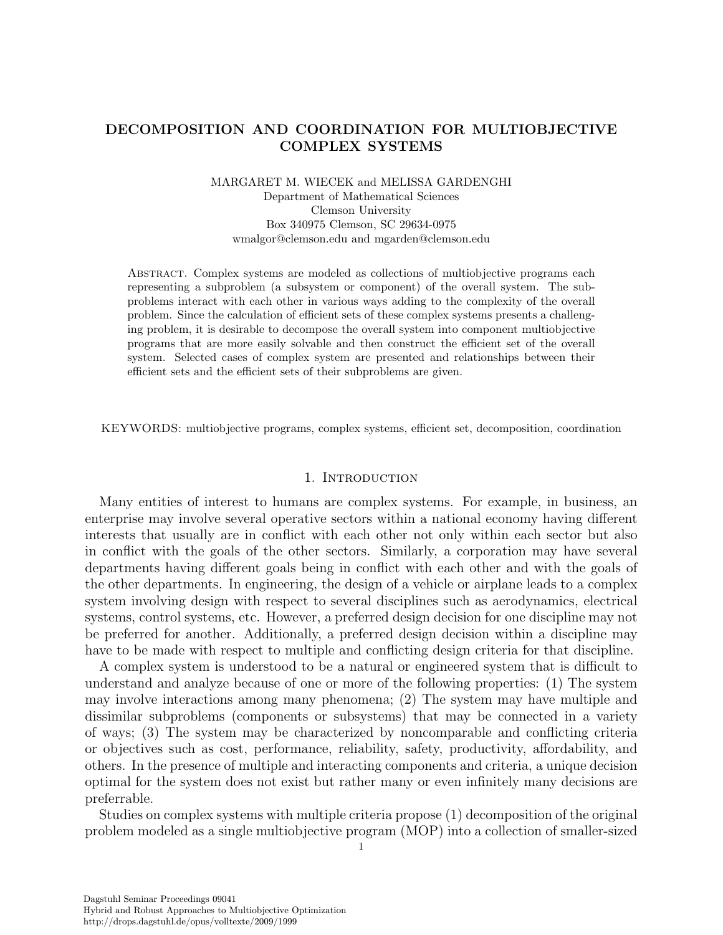# DECOMPOSITION AND COORDINATION FOR MULTIOBJECTIVE COMPLEX SYSTEMS

# MARGARET M. WIECEK and MELISSA GARDENGHI Department of Mathematical Sciences Clemson University Box 340975 Clemson, SC 29634-0975 wmalgor@clemson.edu and mgarden@clemson.edu

Abstract. Complex systems are modeled as collections of multiobjective programs each representing a subproblem (a subsystem or component) of the overall system. The subproblems interact with each other in various ways adding to the complexity of the overall problem. Since the calculation of efficient sets of these complex systems presents a challenging problem, it is desirable to decompose the overall system into component multiobjective programs that are more easily solvable and then construct the efficient set of the overall system. Selected cases of complex system are presented and relationships between their efficient sets and the efficient sets of their subproblems are given.

KEYWORDS: multiobjective programs, complex systems, efficient set, decomposition, coordination

#### 1. INTRODUCTION

Many entities of interest to humans are complex systems. For example, in business, an enterprise may involve several operative sectors within a national economy having different interests that usually are in conflict with each other not only within each sector but also in conflict with the goals of the other sectors. Similarly, a corporation may have several departments having different goals being in conflict with each other and with the goals of the other departments. In engineering, the design of a vehicle or airplane leads to a complex system involving design with respect to several disciplines such as aerodynamics, electrical systems, control systems, etc. However, a preferred design decision for one discipline may not be preferred for another. Additionally, a preferred design decision within a discipline may have to be made with respect to multiple and conflicting design criteria for that discipline.

A complex system is understood to be a natural or engineered system that is difficult to understand and analyze because of one or more of the following properties: (1) The system may involve interactions among many phenomena; (2) The system may have multiple and dissimilar subproblems (components or subsystems) that may be connected in a variety of ways; (3) The system may be characterized by noncomparable and conflicting criteria or objectives such as cost, performance, reliability, safety, productivity, affordability, and others. In the presence of multiple and interacting components and criteria, a unique decision optimal for the system does not exist but rather many or even infinitely many decisions are preferrable.

Studies on complex systems with multiple criteria propose (1) decomposition of the original problem modeled as a single multiobjective program (MOP) into a collection of smaller-sized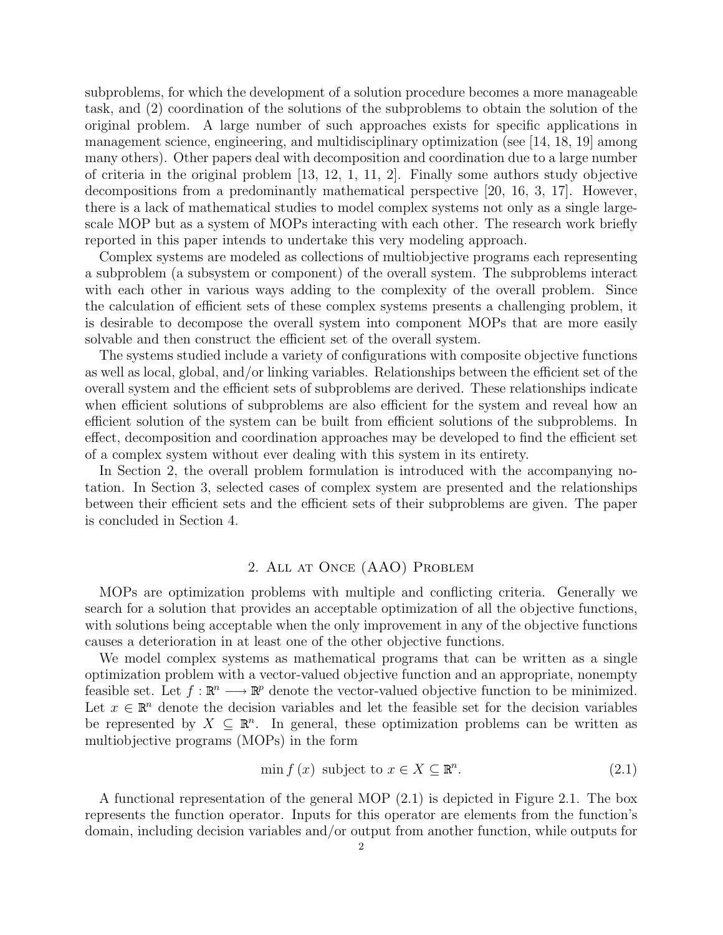subproblems, for which the development of a solution procedure becomes a more manageable task, and (2) coordination of the solutions of the subproblems to obtain the solution of the original problem. A large number of such approaches exists for specific applications in management science, engineering, and multidisciplinary optimization (see [14, 18, 19] among many others). Other papers deal with decomposition and coordination due to a large number of criteria in the original problem [13, 12, 1, 11, 2]. Finally some authors study objective decompositions from a predominantly mathematical perspective [20, 16, 3, 17]. However, there is a lack of mathematical studies to model complex systems not only as a single largescale MOP but as a system of MOPs interacting with each other. The research work briefly reported in this paper intends to undertake this very modeling approach.

Complex systems are modeled as collections of multiobjective programs each representing a subproblem (a subsystem or component) of the overall system. The subproblems interact with each other in various ways adding to the complexity of the overall problem. Since the calculation of efficient sets of these complex systems presents a challenging problem, it is desirable to decompose the overall system into component MOPs that are more easily solvable and then construct the efficient set of the overall system.

The systems studied include a variety of configurations with composite objective functions as well as local, global, and/or linking variables. Relationships between the efficient set of the overall system and the efficient sets of subproblems are derived. These relationships indicate when efficient solutions of subproblems are also efficient for the system and reveal how an efficient solution of the system can be built from efficient solutions of the subproblems. In effect, decomposition and coordination approaches may be developed to find the efficient set of a complex system without ever dealing with this system in its entirety.

In Section 2, the overall problem formulation is introduced with the accompanying notation. In Section 3, selected cases of complex system are presented and the relationships between their efficient sets and the efficient sets of their subproblems are given. The paper is concluded in Section 4.

### 2. All at Once (AAO) Problem

MOPs are optimization problems with multiple and conflicting criteria. Generally we search for a solution that provides an acceptable optimization of all the objective functions, with solutions being acceptable when the only improvement in any of the objective functions causes a deterioration in at least one of the other objective functions.

We model complex systems as mathematical programs that can be written as a single optimization problem with a vector-valued objective function and an appropriate, nonempty feasible set. Let  $f : \mathbb{R}^n \longrightarrow \mathbb{R}^p$  denote the vector-valued objective function to be minimized. Let  $x \in \mathbb{R}^n$  denote the decision variables and let the feasible set for the decision variables be represented by  $X \subseteq \mathbb{R}^n$ . In general, these optimization problems can be written as multiobjective programs (MOPs) in the form

$$
\min f(x) \text{ subject to } x \in X \subseteq \mathbb{R}^n. \tag{2.1}
$$

A functional representation of the general MOP (2.1) is depicted in Figure 2.1. The box represents the function operator. Inputs for this operator are elements from the function's domain, including decision variables and/or output from another function, while outputs for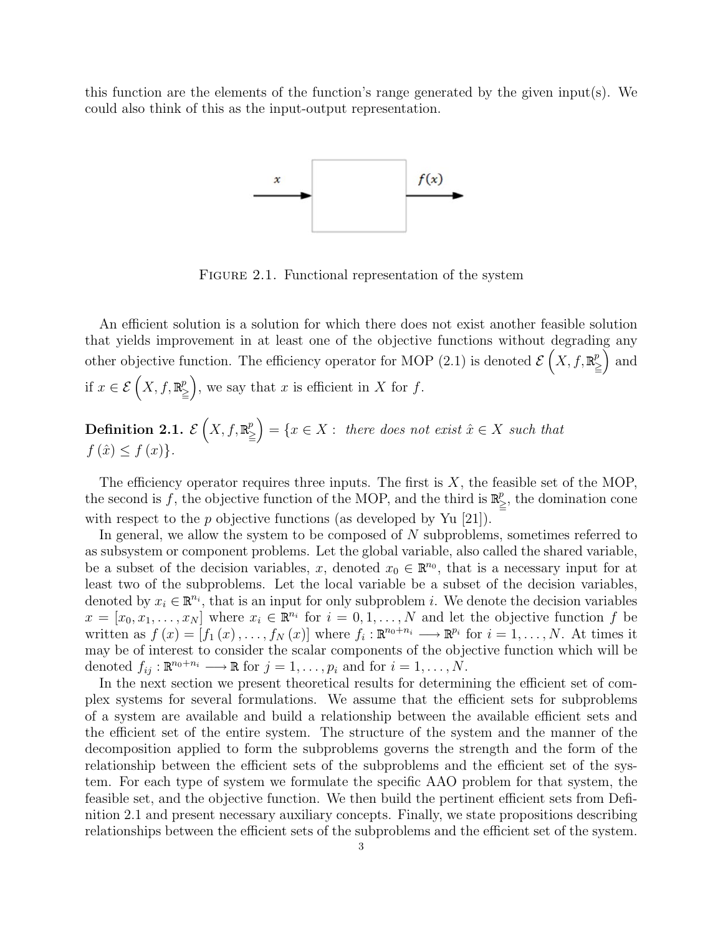this function are the elements of the function's range generated by the given input(s). We could also think of this as the input-output representation.



FIGURE 2.1. Functional representation of the system

An efficient solution is a solution for which there does not exist another feasible solution that yields improvement in at least one of the objective functions without degrading any other objective function. The efficiency operator for MOP (2.1) is denoted  $\mathcal{E}(X, f, \mathbb{R})$  $\binom{p}{\geq}$  and if  $x \in \mathcal{E}\left(X, f, \mathbb{R}^p\right)$  $\binom{p}{\geq}$ , we say that x is efficient in X for f.

**Definition 2.1.** 
$$
\mathcal{E}(X, f, \mathbb{R}^p_{\geq}) = \{x \in X : \text{ there does not exist } \hat{x} \in X \text{ such that } f(\hat{x}) \leq f(x) \}.
$$

The efficiency operator requires three inputs. The first is  $X$ , the feasible set of the MOP, the second is f, the objective function of the MOP, and the third is  $\mathbb{R}^p$  $\sum_{i=1}^{p}$ , the domination cone with respect to the  $p$  objective functions (as developed by Yu [21]).

In general, we allow the system to be composed of N subproblems, sometimes referred to as subsystem or component problems. Let the global variable, also called the shared variable, be a subset of the decision variables, x, denoted  $x_0 \in \mathbb{R}^{n_0}$ , that is a necessary input for at least two of the subproblems. Let the local variable be a subset of the decision variables, denoted by  $x_i \in \mathbb{R}^{n_i}$ , that is an input for only subproblem *i*. We denote the decision variables  $x = [x_0, x_1, \ldots, x_N]$  where  $x_i \in \mathbb{R}^{n_i}$  for  $i = 0, 1, \ldots, N$  and let the objective function f be written as  $f(x) = [f_1(x), \ldots, f_N(x)]$  where  $f_i : \mathbb{R}^{n_0+n_i} \longrightarrow \mathbb{R}^{p_i}$  for  $i = 1, \ldots, N$ . At times it may be of interest to consider the scalar components of the objective function which will be denoted  $f_{ij}: \mathbb{R}^{n_0+n_i} \longrightarrow \mathbb{R}$  for  $j=1,\ldots,p_i$  and for  $i=1,\ldots,N$ .

In the next section we present theoretical results for determining the efficient set of complex systems for several formulations. We assume that the efficient sets for subproblems of a system are available and build a relationship between the available efficient sets and the efficient set of the entire system. The structure of the system and the manner of the decomposition applied to form the subproblems governs the strength and the form of the relationship between the efficient sets of the subproblems and the efficient set of the system. For each type of system we formulate the specific AAO problem for that system, the feasible set, and the objective function. We then build the pertinent efficient sets from Definition 2.1 and present necessary auxiliary concepts. Finally, we state propositions describing relationships between the efficient sets of the subproblems and the efficient set of the system.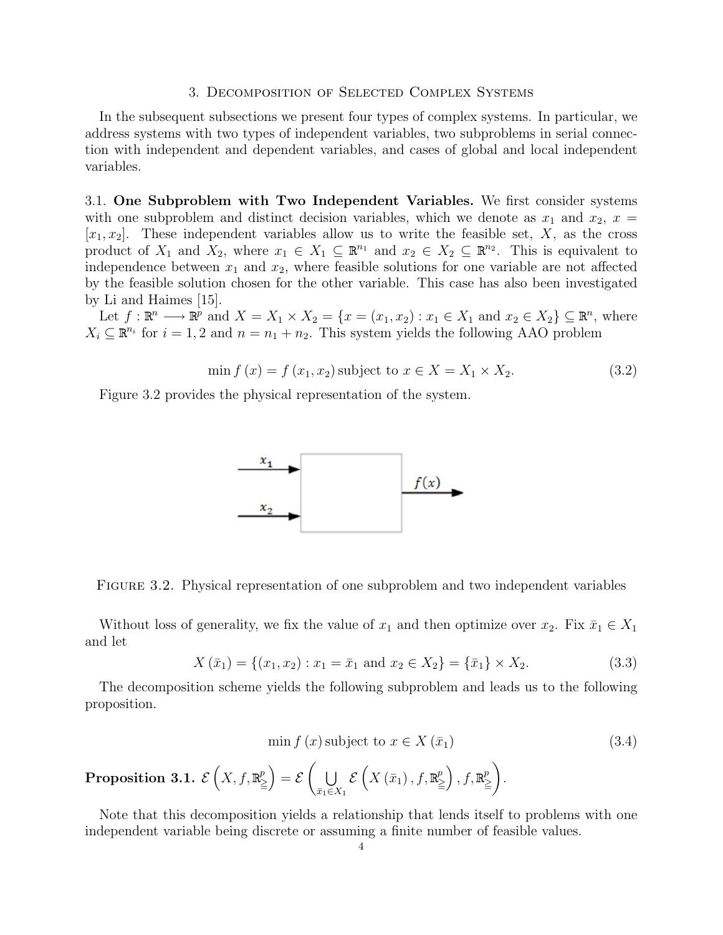### 3. Decomposition of Selected Complex Systems

In the subsequent subsections we present four types of complex systems. In particular, we address systems with two types of independent variables, two subproblems in serial connection with independent and dependent variables, and cases of global and local independent variables.

3.1. One Subproblem with Two Independent Variables. We first consider systems with one subproblem and distinct decision variables, which we denote as  $x_1$  and  $x_2$ ,  $x =$  $[x_1, x_2]$ . These independent variables allow us to write the feasible set, X, as the cross product of  $X_1$  and  $X_2$ , where  $x_1 \in X_1 \subseteq \mathbb{R}^{n_1}$  and  $x_2 \in X_2 \subseteq \mathbb{R}^{n_2}$ . This is equivalent to independence between  $x_1$  and  $x_2$ , where feasible solutions for one variable are not affected by the feasible solution chosen for the other variable. This case has also been investigated by Li and Haimes [15].

Let  $f: \mathbb{R}^n \longrightarrow \mathbb{R}^p$  and  $X = X_1 \times X_2 = \{x = (x_1, x_2) : x_1 \in X_1 \text{ and } x_2 \in X_2\} \subseteq \mathbb{R}^n$ , where  $X_i \subseteq \mathbb{R}^{n_i}$  for  $i = 1, 2$  and  $n = n_1 + n_2$ . This system yields the following AAO problem

$$
\min f(x) = f(x_1, x_2) \text{ subject to } x \in X = X_1 \times X_2. \tag{3.2}
$$

Figure 3.2 provides the physical representation of the system.



Figure 3.2. Physical representation of one subproblem and two independent variables

Without loss of generality, we fix the value of  $x_1$  and then optimize over  $x_2$ . Fix  $\bar{x}_1 \in X_1$ and let

$$
X(\bar{x}_1) = \{(x_1, x_2) : x_1 = \bar{x}_1 \text{ and } x_2 \in X_2\} = \{\bar{x}_1\} \times X_2.
$$
 (3.3)

The decomposition scheme yields the following subproblem and leads us to the following proposition.

$$
\min f(x) \text{ subject to } x \in X(\bar{x}_1) \tag{3.4}
$$

.

**Proposition 3.1.** 
$$
\mathcal{E}\left(X, f, \mathbb{R}^p_{\geq}\right) = \mathcal{E}\left(\bigcup_{\bar{x}_1 \in X_1} \mathcal{E}\left(X\left(\bar{x}_1\right), f, \mathbb{R}^p_{\geq}\right), f, \mathbb{R}^p_{\geq}\right)
$$

Note that this decomposition yields a relationship that lends itself to problems with one independent variable being discrete or assuming a finite number of feasible values.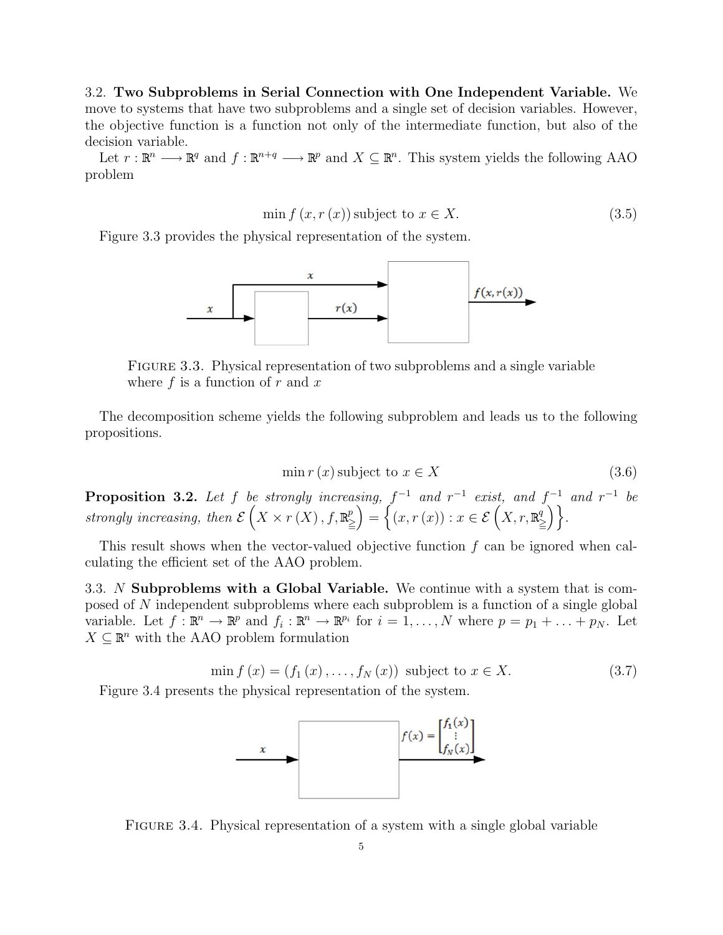3.2. Two Subproblems in Serial Connection with One Independent Variable. We move to systems that have two subproblems and a single set of decision variables. However, the objective function is a function not only of the intermediate function, but also of the decision variable.

Let  $r : \mathbb{R}^n \longrightarrow \mathbb{R}^q$  and  $f : \mathbb{R}^{n+q} \longrightarrow \mathbb{R}^p$  and  $X \subseteq \mathbb{R}^n$ . This system yields the following AAO problem

$$
\min f(x, r(x)) \text{ subject to } x \in X. \tag{3.5}
$$

Figure 3.3 provides the physical representation of the system.



Figure 3.3. Physical representation of two subproblems and a single variable where  $f$  is a function of  $r$  and  $x$ 

The decomposition scheme yields the following subproblem and leads us to the following propositions.

$$
\min r(x) \text{ subject to } x \in X \tag{3.6}
$$

**Proposition 3.2.** Let f be strongly increasing,  $f^{-1}$  and  $r^{-1}$  exist, and  $f^{-1}$  and  $r^{-1}$  be strongly increasing, then  $\mathcal{E}(X \times r(X), f, \mathbb{R})$  $\left(\begin{matrix}p\zeta\end{matrix}\right)=\left\{\left(x,r\left(x\right)\right):x\in\mathcal{E}\left(X,r,\mathbb{R}\right)\right\}$  $\binom{q}{>}\bigg\}$ .

This result shows when the vector-valued objective function f can be ignored when calculating the efficient set of the AAO problem.

3.3. N Subproblems with a Global Variable. We continue with a system that is composed of N independent subproblems where each subproblem is a function of a single global variable. Let  $f: \mathbb{R}^n \to \mathbb{R}^p$  and  $f_i: \mathbb{R}^n \to \mathbb{R}^{p_i}$  for  $i = 1, ..., N$  where  $p = p_1 + ... + p_N$ . Let  $X \subseteq \mathbb{R}^n$  with the AAO problem formulation

$$
\min f(x) = (f_1(x), \dots, f_N(x)) \text{ subject to } x \in X. \tag{3.7}
$$

Figure 3.4 presents the physical representation of the system.



Figure 3.4. Physical representation of a system with a single global variable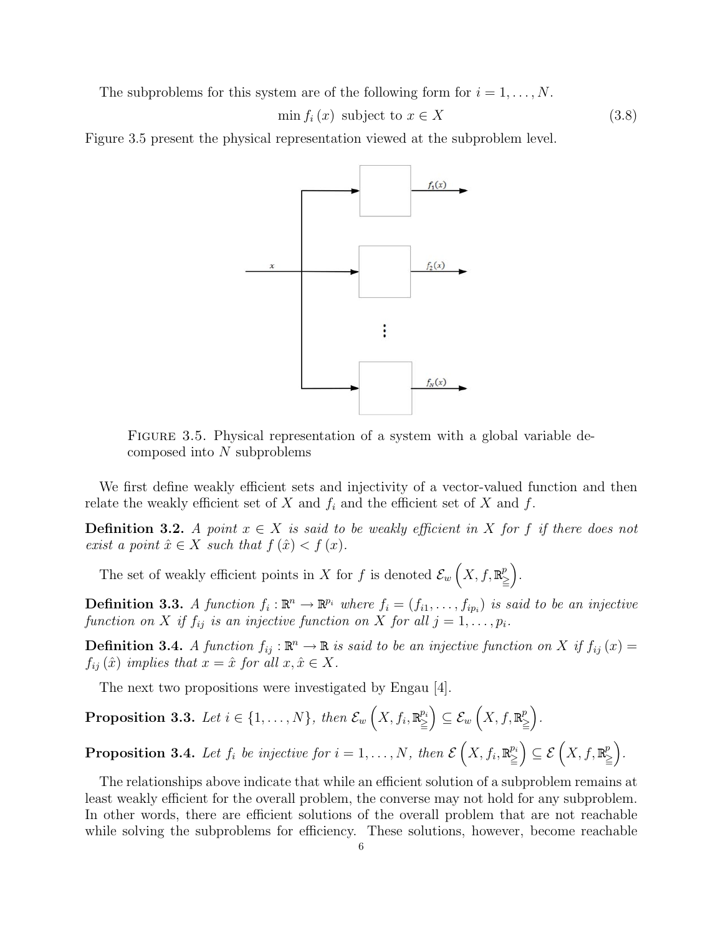The subproblems for this system are of the following form for  $i = 1, \ldots, N$ .

$$
\min f_i(x) \text{ subject to } x \in X \tag{3.8}
$$

Figure 3.5 present the physical representation viewed at the subproblem level.



FIGURE 3.5. Physical representation of a system with a global variable decomposed into N subproblems

We first define weakly efficient sets and injectivity of a vector-valued function and then relate the weakly efficient set of X and  $f_i$  and the efficient set of X and f.

**Definition 3.2.** A point  $x \in X$  is said to be weakly efficient in X for f if there does not exist a point  $\hat{x} \in X$  such that  $f(\hat{x}) < f(x)$ .

The set of weakly efficient points in X for f is denoted  $\mathcal{E}_w(X, f, \mathbb{R})$  $\binom{p}{>}$ .

**Definition 3.3.** A function  $f_i : \mathbb{R}^n \to \mathbb{R}^p$  where  $f_i = (f_{i1}, \ldots, f_{ip_i})$  is said to be an injective function on X if  $f_{ij}$  is an injective function on X for all  $j = 1, \ldots, p_i$ .

**Definition 3.4.** A function  $f_{ij} : \mathbb{R}^n \to \mathbb{R}$  is said to be an injective function on X if  $f_{ij}(x) =$  $f_{ij}(\hat{x})$  implies that  $x = \hat{x}$  for all  $x, \hat{x} \in X$ .

The next two propositions were investigated by Engau [4].

**Proposition 3.3.** Let 
$$
i \in \{1, ..., N\}
$$
, then  $\mathcal{E}_w(X, f_i, \mathbb{R}^{p_i}) \subseteq \mathcal{E}_w(X, f, \mathbb{R}^{p_i})$ .

**Proposition 3.4.** Let  $f_i$  be injective for  $i = 1, ..., N$ , then  $\mathcal{E}\left(X, f_i, \mathbb{R}^{p_i}_{\geq}\right) \subseteq \mathcal{E}\left(X, f_i, \mathbb{R}^{p_i}_{\geq}\right)$  $\binom{p}{\geq}$ .

The relationships above indicate that while an efficient solution of a subproblem remains at least weakly efficient for the overall problem, the converse may not hold for any subproblem. In other words, there are efficient solutions of the overall problem that are not reachable while solving the subproblems for efficiency. These solutions, however, become reachable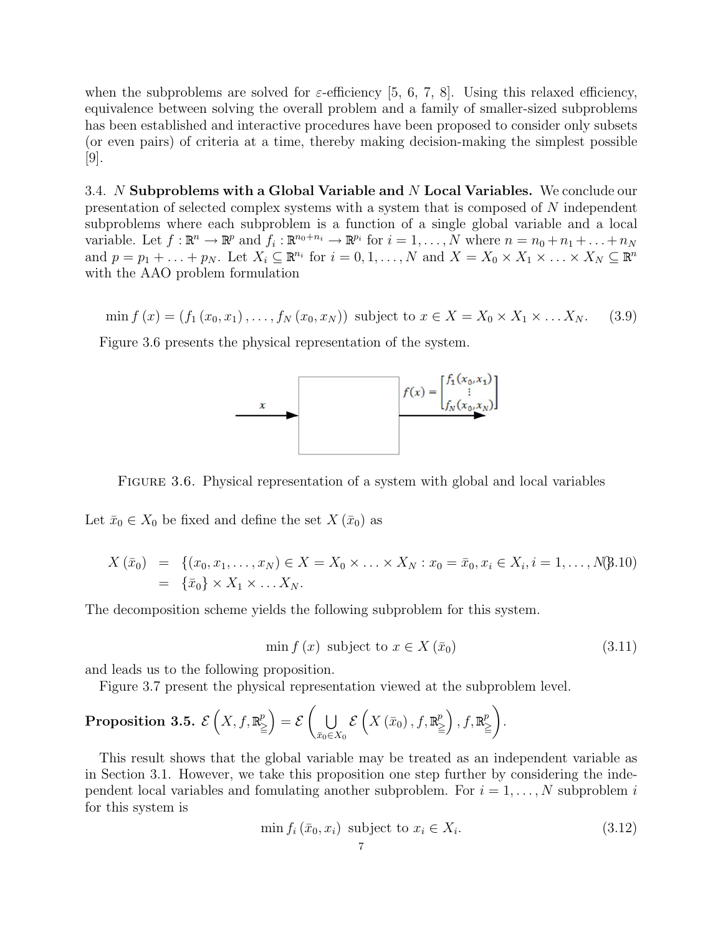when the subproblems are solved for  $\varepsilon$ -efficiency [5, 6, 7, 8]. Using this relaxed efficiency, equivalence between solving the overall problem and a family of smaller-sized subproblems has been established and interactive procedures have been proposed to consider only subsets (or even pairs) of criteria at a time, thereby making decision-making the simplest possible [9].

3.4. N Subproblems with a Global Variable and N Local Variables. We conclude our presentation of selected complex systems with a system that is composed of N independent subproblems where each subproblem is a function of a single global variable and a local variable. Let  $f: \mathbb{R}^n \to \mathbb{R}^p$  and  $f_i: \mathbb{R}^{n_0+n_i} \to \mathbb{R}^{p_i}$  for  $i=1,\ldots,N$  where  $n=n_0+n_1+\ldots+n_N$ and  $p = p_1 + \ldots + p_N$ . Let  $X_i \subseteq \mathbb{R}^{n_i}$  for  $i = 0, 1, \ldots, N$  and  $X = X_0 \times X_1 \times \ldots \times X_N \subseteq \mathbb{R}^n$ with the AAO problem formulation

 $\min f(x) = (f_1(x_0, x_1), \dots, f_N(x_0, x_N))$  subject to  $x \in X = X_0 \times X_1 \times \dots \times X_N$ . (3.9)

Figure 3.6 presents the physical representation of the system.



FIGURE 3.6. Physical representation of a system with global and local variables

Let  $\bar{x}_0 \in X_0$  be fixed and define the set  $X(\bar{x}_0)$  as

$$
X(\bar{x}_0) = \{ (x_0, x_1, \dots, x_N) \in X = X_0 \times \dots \times X_N : x_0 = \bar{x}_0, x_i \in X_i, i = 1, \dots, N\}
$$
\n
$$
= \{\bar{x}_0\} \times X_1 \times \dots X_N.
$$

The decomposition scheme yields the following subproblem for this system.

$$
\min f(x) \text{ subject to } x \in X(\bar{x}_0) \tag{3.11}
$$

and leads us to the following proposition.

Figure 3.7 present the physical representation viewed at the subproblem level.

**Proposition 3.5.** 
$$
\mathcal{E}\left(X, f, \mathbb{R}^p_{\geq}\right) = \mathcal{E}\left(\bigcup_{\bar{x}_0 \in X_0} \mathcal{E}\left(X\left(\bar{x}_0\right), f, \mathbb{R}^p_{\geq}\right), f, \mathbb{R}^p_{\geq}\right).
$$

This result shows that the global variable may be treated as an independent variable as in Section 3.1. However, we take this proposition one step further by considering the independent local variables and fomulating another subproblem. For  $i = 1, \ldots, N$  subproblem i for this system is

$$
\min f_i(\bar{x}_0, x_i) \text{ subject to } x_i \in X_i. \tag{3.12}
$$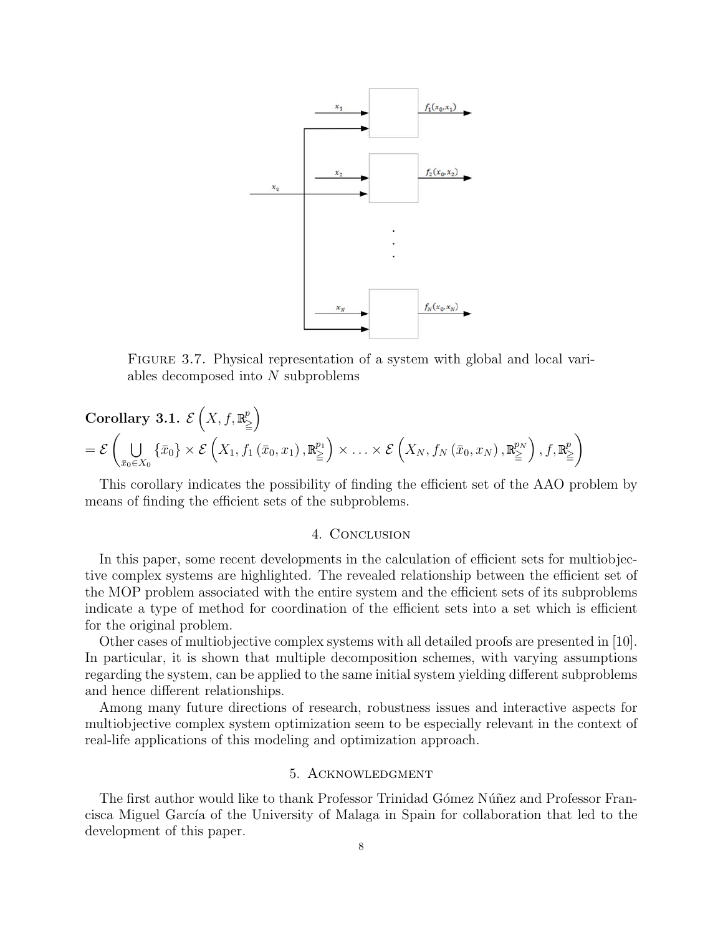

FIGURE 3.7. Physical representation of a system with global and local variables decomposed into  $N$  subproblems

Corollary 3.1. 
$$
\mathcal{E}\left(X, f, \mathbb{R}^p_{\geq}\right)
$$
  
=  $\mathcal{E}\left(\bigcup_{\bar{x}_0 \in X_0} \{\bar{x}_0\} \times \mathcal{E}\left(X_1, f_1(\bar{x}_0, x_1), \mathbb{R}^{p_1}_{\geq}\right) \times \ldots \times \mathcal{E}\left(X_N, f_N(\bar{x}_0, x_N), \mathbb{R}^{p_N}_{\geq}\right), f, \mathbb{R}^p_{\geq}\right)$ 

This corollary indicates the possibility of finding the efficient set of the AAO problem by means of finding the efficient sets of the subproblems.

#### 4. Conclusion

In this paper, some recent developments in the calculation of efficient sets for multiobjective complex systems are highlighted. The revealed relationship between the efficient set of the MOP problem associated with the entire system and the efficient sets of its subproblems indicate a type of method for coordination of the efficient sets into a set which is efficient for the original problem.

Other cases of multiobjective complex systems with all detailed proofs are presented in [10]. In particular, it is shown that multiple decomposition schemes, with varying assumptions regarding the system, can be applied to the same initial system yielding different subproblems and hence different relationships.

Among many future directions of research, robustness issues and interactive aspects for multiobjective complex system optimization seem to be especially relevant in the context of real-life applications of this modeling and optimization approach.

# 5. Acknowledgment

The first author would like to thank Professor Trinidad Gómez Núñez and Professor Francisca Miguel García of the University of Malaga in Spain for collaboration that led to the development of this paper.